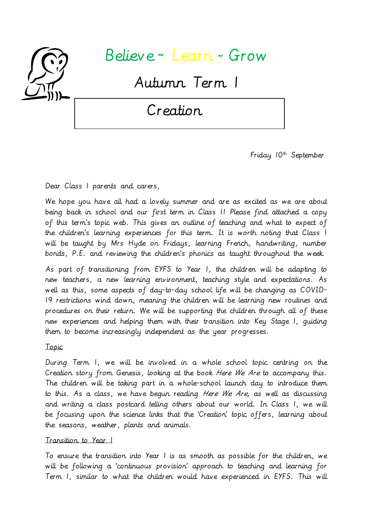

# Believe <sup>~</sup> Learn <sup>~</sup>Grow

Autumn Term 1

Creation

Friday  $10^{th}$  September

Dear Class 1 parents and carers,

We hope you have all had a lovely summer and are as excited as we are about being back in school and our first term in Class 1! Please find attached a copy of this term's topic web. This gives an outline of teaching and what to expect of the children's learning experiences for this term. It is worth noting that Class 1 will be taught by Mrs Hyde on Fridays, learning French, handwriting, number bonds, P.E. and reviewing the children's phonics as taught throughout the week.

As part of transitioning from EYFS to Year 1, the children will be adapting to new teachers, a new learning environment, teaching style and expectations. As well as this, some aspects of day-to-day school life will be changing as COVID-19 restrictions wind down, meaning the children will be learning new routines and procedures on their return. We will be supporting the children through all of these new experiences and helping them with their transition into Key Stage 1, guiding them to become increasingly independent as the year progresses.

Topic

During Term 1, we will be involved in a whole school topic centring on the Creation story from Genesis, looking at the book Here We Are to accompany this. The children will be taking part in a whole-school launch day to introduce them to this. As a class, we have begun reading Here We Are, as well as discussing and writing a class postcard telling others about our world. In Class 1, we will be focusing upon the science links that the 'Creation' topic offers, learning about the seasons, weather, plants and animals.

## Transition to Year 1

To ensure the transition into Year 1 is as smooth as possible for the children, we will be following a 'continuous provision' approach to teaching and learning for Term 1, similar to what the children would have experienced in EYFS. This will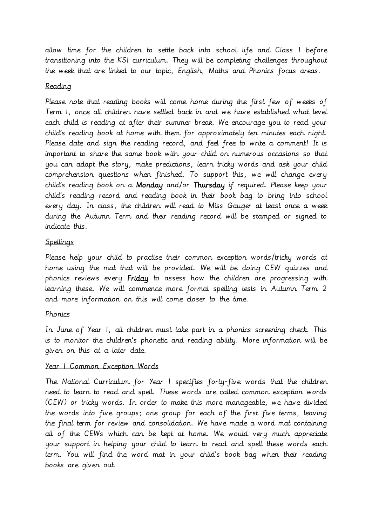allow time for the children to settle back into school life and Class 1 before transitioning into the KS1 curriculum. They will be completing challenges throughout the week that are linked to our topic, English, Maths and Phonics focus areas.

# Reading

Please note that reading books will come home during the first few of weeks of Term 1, once all children have settled back in and we have established what level each child is reading at after their summer break. We encourage you to read your child's reading book at home with them for approximately ten minutes each night. Please date and sign the reading record, and feel free to write a comment! It is important to share the same book with your child on numerous occasions so that you can adapt the story, make predictions, learn tricky words and ask your child comprehension questions when finished. To support this, we will change every child's reading book on a Monday and/or Thursday if required. Please keep your child's reading record and reading book in their book bag to bring into school every day. In class, the children will read to Miss Gauger at least once a week during the Autumn Term and their reading record will be stamped or signed to indicate this.

## Spellings

Please help your child to practise their common exception words/tricky words at home using the mat that will be provided. We will be doing CEW quizzes and phonics reviews every Friday to assess how the children are progressing with learning these. We will commence more formal spelling tests in Autumn Term 2 and more information on this will come closer to the time.

# Phonics

In June of Year 1, all children must take part in a phonics screening check. This is to monitor the children's phonetic and reading ability. More information will be given on this at a later date.

## Year 1 Common Exception Words

The National Curriculum for Year 1 specifies forty-five words that the children need to learn to read and spell. These words are called common exception words (CEW) or tricky words. In order to make this more manageable, we have divided the words into five groups; one group for each of the first five terms, leaving the final term for review and consolidation. We have made a word mat containing all of the CEWs which can be kept at home. We would very much appreciate your support in helping your child to learn to read and spell these words each term. You will find the word mat in your child's book bag when their reading books are given out.